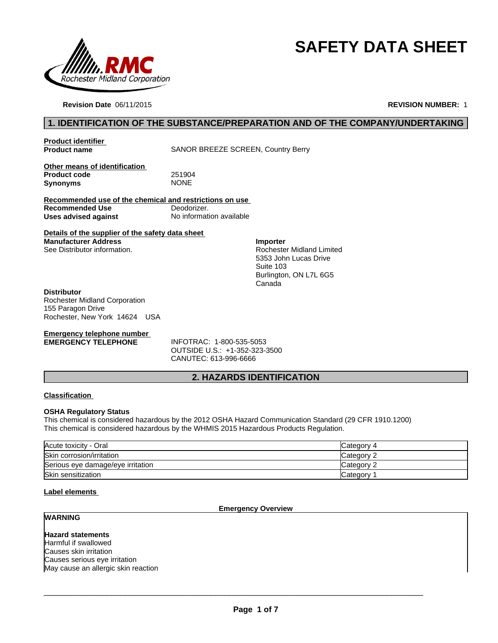

# **SAFETY DATA SHEET**

**Revision Date** 06/11/2015

**REVISION NUMBER:** 1

# **1. IDENTIFICATION OF THE SUBSTANCE/PREPARATION AND OF THE COMPANY/UNDERTAKING**

**Product identifier** 

**Product name** SANOR BREEZE SCREEN, Country Berry

**Other means of identification**  Product code 251904<br> **Synonyms** NONE **Synonyms** 

**Recommended use of the chemical and restrictions on use Recommended Use** Deodorizer. **Uses advised against** No information available

**Details of the supplier of the safety data sheet Manufacturer Address** See Distributor information.

**Importer** Rochester Midland Limited 5353 John Lucas Drive Suite 103 Burlington, ON L7L 6G5 Canada

#### **Distributor**

Rochester Midland Corporation 155 Paragon Drive Rochester, New York 14624 USA

# **Emergency telephone number<br>EMERGENCY TELEPHONE**

**EMERGENCY TELEPHONE** INFOTRAC: 1-800-535-5053 OUTSIDE U.S.: +1-352-323-3500 CANUTEC: 613-996-6666

# **2. HAZARDS IDENTIFICATION**

#### **Classification**

#### **OSHA Regulatory Status**

This chemical is considered hazardous by the 2012 OSHA Hazard Communication Standard (29 CFR 1910.1200) This chemical is considered hazardous by the WHMIS 2015 Hazardous Products Regulation.

| Acute toxicity - Oral             | Category 4 |
|-----------------------------------|------------|
| Skin corrosion/irritation         | Category 2 |
| Serious eye damage/eye irritation | Category ? |
| Skin sensitization                | Category   |

#### **Label elements**

#### **Emergency Overview**

# **WARNING**

**Hazard statements** Harmful if swallowed Causes skin irritation Causes serious eye irritation May cause an allergic skin reaction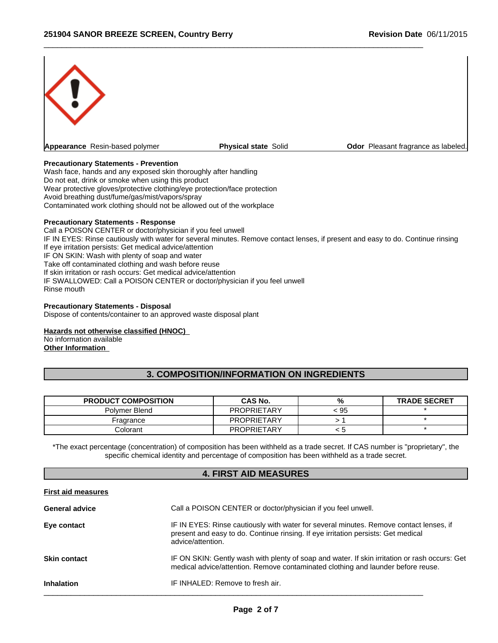

 $\_$  ,  $\_$  ,  $\_$  ,  $\_$  ,  $\_$  ,  $\_$  ,  $\_$  ,  $\_$  ,  $\_$  ,  $\_$  ,  $\_$  ,  $\_$  ,  $\_$  ,  $\_$  ,  $\_$  ,  $\_$  ,  $\_$  ,  $\_$  ,  $\_$  ,  $\_$  ,  $\_$  ,  $\_$  ,  $\_$  ,  $\_$  ,  $\_$  ,  $\_$  ,  $\_$  ,  $\_$  ,  $\_$  ,  $\_$  ,  $\_$  ,  $\_$  ,  $\_$  ,  $\_$  ,  $\_$  ,  $\_$  ,  $\_$  ,

#### **Precautionary Statements - Prevention**

Wash face, hands and any exposed skin thoroughly after handling Do not eat, drink or smoke when using this product Wear protective gloves/protective clothing/eye protection/face protection Avoid breathing dust/fume/gas/mist/vapors/spray Contaminated work clothing should not be allowed out of the workplace

#### **Precautionary Statements - Response**

Call a POISON CENTER or doctor/physician if you feel unwell IF IN EYES: Rinse cautiously with water for several minutes. Remove contact lenses, if present and easy to do. Continue rinsing If eye irritation persists: Get medical advice/attention IF ON SKIN: Wash with plenty of soap and water Take off contaminated clothing and wash before reuse If skin irritation or rash occurs: Get medical advice/attention IF SWALLOWED: Call a POISON CENTER or doctor/physician if you feel unwell Rinse mouth

#### **Precautionary Statements - Disposal**

Dispose of contents/container to an approved waste disposal plant

#### **Hazards not otherwise classified (HNOC)**

No information available **Other Information** 

### **3. COMPOSITION/INFORMATION ON INGREDIENTS**

| <b>PRODUCT COMPOSITION</b> | <b>CAS No.</b>     | %    | <b>TRADE SECRET</b> |
|----------------------------|--------------------|------|---------------------|
| Polymer Blend              | <b>PROPRIETARY</b> | < 95 |                     |
| Fragrance                  | <b>PROPRIETARY</b> |      |                     |
| colorant C                 | <b>PROPRIETARY</b> | - 12 |                     |

\*The exact percentage (concentration) of composition has been withheld as a trade secret. If CAS number is "proprietary", the specific chemical identity and percentage of composition has been withheld as a trade secret.

#### **4. FIRST AID MEASURES**

| <b>First aid measures</b> |                                                                                                                                                                                                  |
|---------------------------|--------------------------------------------------------------------------------------------------------------------------------------------------------------------------------------------------|
| <b>General advice</b>     | Call a POISON CENTER or doctor/physician if you feel unwell.                                                                                                                                     |
| Eye contact               | IF IN EYES: Rinse cautiously with water for several minutes. Remove contact lenses, if<br>present and easy to do. Continue rinsing. If eye irritation persists: Get medical<br>advice/attention. |
| <b>Skin contact</b>       | IF ON SKIN: Gently wash with plenty of soap and water. If skin irritation or rash occurs: Get<br>medical advice/attention. Remove contaminated clothing and launder before reuse.                |
| <b>Inhalation</b>         | IF INHALED: Remove to fresh air.                                                                                                                                                                 |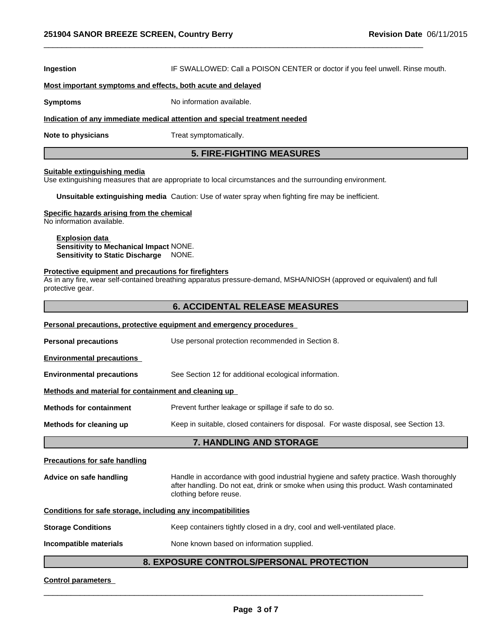**Ingestion IF SWALLOWED: Call a POISON CENTER or doctor if you feel unwell. Rinse mouth.** 

 $\_$  ,  $\_$  ,  $\_$  ,  $\_$  ,  $\_$  ,  $\_$  ,  $\_$  ,  $\_$  ,  $\_$  ,  $\_$  ,  $\_$  ,  $\_$  ,  $\_$  ,  $\_$  ,  $\_$  ,  $\_$  ,  $\_$  ,  $\_$  ,  $\_$  ,  $\_$  ,  $\_$  ,  $\_$  ,  $\_$  ,  $\_$  ,  $\_$  ,  $\_$  ,  $\_$  ,  $\_$  ,  $\_$  ,  $\_$  ,  $\_$  ,  $\_$  ,  $\_$  ,  $\_$  ,  $\_$  ,  $\_$  ,  $\_$  ,

#### **Most important symptoms and effects, both acute and delayed**

**Symptoms** No information available.

#### **Indication of any immediate medical attention and special treatment needed**

**Note to physicians** Treat symptomatically.

#### **5. FIRE-FIGHTING MEASURES**

#### **Suitable extinguishing media**

Use extinguishing measures that are appropriate to local circumstances and the surrounding environment.

**Unsuitable extinguishing media** Caution: Use of water spray when fighting fire may be inefficient.

#### **Specific hazards arising from the chemical**

No information available.

#### **Explosion data Sensitivity to Mechanical Impact** NONE. **Sensitivity to Static Discharge** NONE.

#### **Protective equipment and precautions for firefighters**

As in any fire, wear self-contained breathing apparatus pressure-demand, MSHA/NIOSH (approved or equivalent) and full protective gear.

#### **6. ACCIDENTAL RELEASE MEASURES**

| Personal precautions, protective equipment and emergency procedures |                                                                                                                                                                                                           |  |  |  |  |
|---------------------------------------------------------------------|-----------------------------------------------------------------------------------------------------------------------------------------------------------------------------------------------------------|--|--|--|--|
| <b>Personal precautions</b>                                         | Use personal protection recommended in Section 8.                                                                                                                                                         |  |  |  |  |
| <b>Environmental precautions</b>                                    |                                                                                                                                                                                                           |  |  |  |  |
| <b>Environmental precautions</b>                                    | See Section 12 for additional ecological information.                                                                                                                                                     |  |  |  |  |
| Methods and material for containment and cleaning up                |                                                                                                                                                                                                           |  |  |  |  |
| <b>Methods for containment</b>                                      | Prevent further leakage or spillage if safe to do so.                                                                                                                                                     |  |  |  |  |
| Methods for cleaning up                                             | Keep in suitable, closed containers for disposal. For waste disposal, see Section 13.                                                                                                                     |  |  |  |  |
| <b>7. HANDLING AND STORAGE</b>                                      |                                                                                                                                                                                                           |  |  |  |  |
| <b>Precautions for safe handling</b>                                |                                                                                                                                                                                                           |  |  |  |  |
| Advice on safe handling                                             | Handle in accordance with good industrial hygiene and safety practice. Wash thoroughly<br>after handling. Do not eat, drink or smoke when using this product. Wash contaminated<br>clothing before reuse. |  |  |  |  |
| Conditions for safe storage, including any incompatibilities        |                                                                                                                                                                                                           |  |  |  |  |
| <b>Storage Conditions</b>                                           | Keep containers tightly closed in a dry, cool and well-ventilated place.                                                                                                                                  |  |  |  |  |
| Incompatible materials                                              | None known based on information supplied.                                                                                                                                                                 |  |  |  |  |

#### **8. EXPOSURE CONTROLS/PERSONAL PROTECTION**

#### **Control parameters**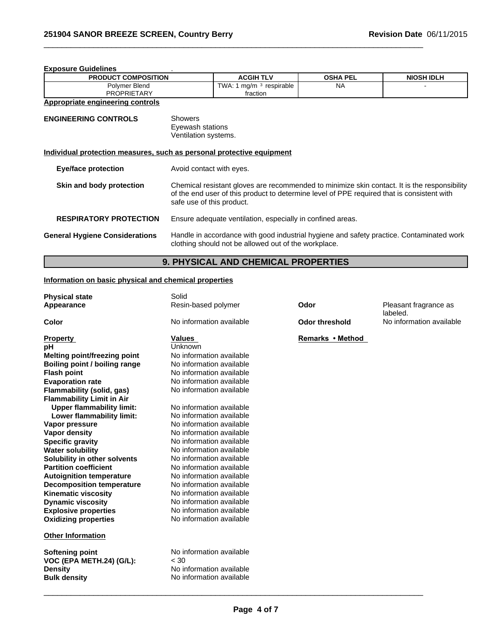| <b>Exposure Guidelines</b> |                              |                 |                   |  |  |
|----------------------------|------------------------------|-----------------|-------------------|--|--|
| <b>PRODUCT COMPOSITION</b> | <b>ACGIH TLV</b>             | <b>OSHA PEL</b> | <b>NIOSH IDLH</b> |  |  |
| Polymer Blend              | TWA: .<br>respirable<br>ma/m | <b>NA</b>       |                   |  |  |
| <b>PROPRIETARY</b>         | fraction                     |                 |                   |  |  |

 $\_$  ,  $\_$  ,  $\_$  ,  $\_$  ,  $\_$  ,  $\_$  ,  $\_$  ,  $\_$  ,  $\_$  ,  $\_$  ,  $\_$  ,  $\_$  ,  $\_$  ,  $\_$  ,  $\_$  ,  $\_$  ,  $\_$  ,  $\_$  ,  $\_$  ,  $\_$  ,  $\_$  ,  $\_$  ,  $\_$  ,  $\_$  ,  $\_$  ,  $\_$  ,  $\_$  ,  $\_$  ,  $\_$  ,  $\_$  ,  $\_$  ,  $\_$  ,  $\_$  ,  $\_$  ,  $\_$  ,  $\_$  ,  $\_$  ,

# **Appropriate engineering controls**

| <b>ENGINEERING CONTROLS</b>                                           | <b>Showers</b><br>Eyewash stations<br>Ventilation systems.                                                                                                                                                              |  |  |  |  |
|-----------------------------------------------------------------------|-------------------------------------------------------------------------------------------------------------------------------------------------------------------------------------------------------------------------|--|--|--|--|
| Individual protection measures, such as personal protective equipment |                                                                                                                                                                                                                         |  |  |  |  |
| <b>Eye/face protection</b>                                            | Avoid contact with eyes.                                                                                                                                                                                                |  |  |  |  |
| Skin and body protection                                              | Chemical resistant gloves are recommended to minimize skin contact. It is the responsibility<br>of the end user of this product to determine level of PPE required that is consistent with<br>safe use of this product. |  |  |  |  |
| <b>RESPIRATORY PROTECTION</b>                                         | Ensure adequate ventilation, especially in confined areas.                                                                                                                                                              |  |  |  |  |
| <b>General Hygiene Considerations</b>                                 | Handle in accordance with good industrial hygiene and safety practice. Contaminated work<br>clothing should not be allowed out of the workplace.                                                                        |  |  |  |  |

# **9. PHYSICAL AND CHEMICAL PROPERTIES**

# **Information on basic physical and chemical properties**

| <b>Physical state</b>               | Solid                    |                       |                                   |
|-------------------------------------|--------------------------|-----------------------|-----------------------------------|
| Appearance                          | Resin-based polymer      | Odor                  | Pleasant fragrance as<br>labeled. |
| Color                               | No information available | <b>Odor threshold</b> | No information available          |
| <b>Property</b>                     | <b>Values</b>            | Remarks • Method      |                                   |
| рH                                  | Unknown                  |                       |                                   |
| <b>Melting point/freezing point</b> | No information available |                       |                                   |
| Boiling point / boiling range       | No information available |                       |                                   |
| <b>Flash point</b>                  | No information available |                       |                                   |
| <b>Evaporation rate</b>             | No information available |                       |                                   |
| Flammability (solid, gas)           | No information available |                       |                                   |
| <b>Flammability Limit in Air</b>    |                          |                       |                                   |
| <b>Upper flammability limit:</b>    | No information available |                       |                                   |
| Lower flammability limit:           | No information available |                       |                                   |
| Vapor pressure                      | No information available |                       |                                   |
| Vapor density                       | No information available |                       |                                   |
| <b>Specific gravity</b>             | No information available |                       |                                   |
| <b>Water solubility</b>             | No information available |                       |                                   |
| Solubility in other solvents        | No information available |                       |                                   |
| <b>Partition coefficient</b>        | No information available |                       |                                   |
| <b>Autoignition temperature</b>     | No information available |                       |                                   |
| <b>Decomposition temperature</b>    | No information available |                       |                                   |
| <b>Kinematic viscosity</b>          | No information available |                       |                                   |
| <b>Dynamic viscosity</b>            | No information available |                       |                                   |
| <b>Explosive properties</b>         | No information available |                       |                                   |
| <b>Oxidizing properties</b>         | No information available |                       |                                   |
| <b>Other Information</b>            |                          |                       |                                   |
| <b>Softening point</b>              | No information available |                       |                                   |
| VOC (EPA METH.24) (G/L):            | < 30                     |                       |                                   |
| <b>Density</b>                      | No information available |                       |                                   |
| <b>Bulk density</b>                 | No information available |                       |                                   |
|                                     |                          |                       |                                   |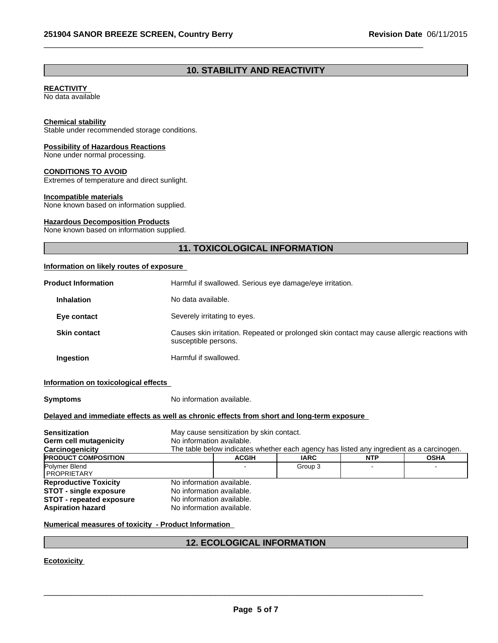# **10. STABILITY AND REACTIVITY**

 $\_$  ,  $\_$  ,  $\_$  ,  $\_$  ,  $\_$  ,  $\_$  ,  $\_$  ,  $\_$  ,  $\_$  ,  $\_$  ,  $\_$  ,  $\_$  ,  $\_$  ,  $\_$  ,  $\_$  ,  $\_$  ,  $\_$  ,  $\_$  ,  $\_$  ,  $\_$  ,  $\_$  ,  $\_$  ,  $\_$  ,  $\_$  ,  $\_$  ,  $\_$  ,  $\_$  ,  $\_$  ,  $\_$  ,  $\_$  ,  $\_$  ,  $\_$  ,  $\_$  ,  $\_$  ,  $\_$  ,  $\_$  ,  $\_$  ,

#### **REACTIVITY**

No data available

#### **Chemical stability**

Stable under recommended storage conditions.

#### **Possibility of Hazardous Reactions**

None under normal processing.

#### **CONDITIONS TO AVOID**

Extremes of temperature and direct sunlight.

#### **Incompatible materials**

None known based on information supplied.

#### **Hazardous Decomposition Products**

None known based on information supplied.

# **11. TOXICOLOGICAL INFORMATION**

### **Information on likely routes of exposure**

| <b>Product Information</b> | Harmful if swallowed. Serious eye damage/eye irritation.                                                             |
|----------------------------|----------------------------------------------------------------------------------------------------------------------|
| <b>Inhalation</b>          | No data available.                                                                                                   |
| Eye contact                | Severely irritating to eyes.                                                                                         |
| <b>Skin contact</b>        | Causes skin irritation. Repeated or prolonged skin contact may cause allergic reactions with<br>susceptible persons. |
| Ingestion                  | Harmful if swallowed.                                                                                                |

#### **Information on toxicological effects**

**Symptoms** No information available.

#### **Delayed and immediate effects as well as chronic effects from short and long-term exposure**

| <b>Sensitization</b><br>Germ cell mutagenicity | No information available. | May cause sensitization by skin contact. |                                                                                          |            |             |
|------------------------------------------------|---------------------------|------------------------------------------|------------------------------------------------------------------------------------------|------------|-------------|
| Carcinogenicity                                |                           |                                          | The table below indicates whether each agency has listed any ingredient as a carcinogen. |            |             |
| <b>PRODUCT COMPOSITION</b>                     |                           |                                          |                                                                                          |            |             |
|                                                |                           | <b>ACGIH</b>                             | <b>IARC</b>                                                                              | <b>NTP</b> | <b>OSHA</b> |
| Polymer Blend                                  |                           |                                          | Group 3                                                                                  |            |             |
| <b>I PROPRIETARY</b>                           |                           |                                          |                                                                                          |            |             |
| <b>Reproductive Toxicity</b>                   | No information available. |                                          |                                                                                          |            |             |
| <b>STOT - single exposure</b>                  | No information available. |                                          |                                                                                          |            |             |
| <b>STOT - repeated exposure</b>                | No information available. |                                          |                                                                                          |            |             |
| <b>Aspiration hazard</b>                       | No information available. |                                          |                                                                                          |            |             |

#### **Numerical measures of toxicity - Product Information**

#### **12. ECOLOGICAL INFORMATION**

**Ecotoxicity**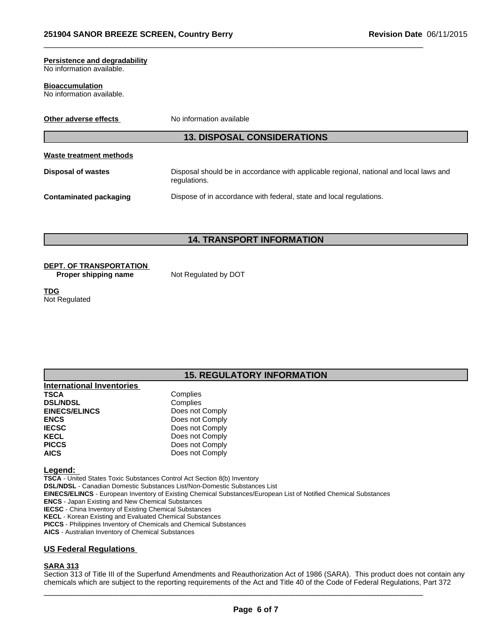# **Persistence and degradability**

No information available.

#### **Bioaccumulation**

No information available.

| Other adverse effects         | No information available                                                                               |
|-------------------------------|--------------------------------------------------------------------------------------------------------|
|                               | <b>13. DISPOSAL CONSIDERATIONS</b>                                                                     |
| Waste treatment methods       |                                                                                                        |
| Disposal of wastes            | Disposal should be in accordance with applicable regional, national and local laws and<br>regulations. |
| <b>Contaminated packaging</b> | Dispose of in accordance with federal, state and local regulations.                                    |

 $\_$  ,  $\_$  ,  $\_$  ,  $\_$  ,  $\_$  ,  $\_$  ,  $\_$  ,  $\_$  ,  $\_$  ,  $\_$  ,  $\_$  ,  $\_$  ,  $\_$  ,  $\_$  ,  $\_$  ,  $\_$  ,  $\_$  ,  $\_$  ,  $\_$  ,  $\_$  ,  $\_$  ,  $\_$  ,  $\_$  ,  $\_$  ,  $\_$  ,  $\_$  ,  $\_$  ,  $\_$  ,  $\_$  ,  $\_$  ,  $\_$  ,  $\_$  ,  $\_$  ,  $\_$  ,  $\_$  ,  $\_$  ,  $\_$  ,

**14. TRANSPORT INFORMATION**

# **DEPT. OF TRANSPORTATION**

**Proper shipping name** Not Regulated by DOT

**TDG** Not Regulated

# **15. REGULATORY INFORMATION**

| <b>International Inventories</b> |                 |
|----------------------------------|-----------------|
| <b>TSCA</b>                      | Complies        |
| <b>DSL/NDSL</b>                  | Complies        |
| <b>EINECS/ELINCS</b>             | Does not Comply |
| <b>ENCS</b>                      | Does not Comply |
| <b>IECSC</b>                     | Does not Comply |
| <b>KECL</b>                      | Does not Comply |
| <b>PICCS</b>                     | Does not Comply |
| <b>AICS</b>                      | Does not Comply |

#### **Legend:**

**TSCA** - United States Toxic Substances Control Act Section 8(b) Inventory **DSL/NDSL** - Canadian Domestic Substances List/Non-Domestic Substances List **EINECS/ELINCS** - European Inventory of Existing Chemical Substances/European List of Notified Chemical Substances **ENCS** - Japan Existing and New Chemical Substances **IECSC** - China Inventory of Existing Chemical Substances **KECL** - Korean Existing and Evaluated Chemical Substances

**PICCS** - Philippines Inventory of Chemicals and Chemical Substances

**AICS** - Australian Inventory of Chemical Substances

#### **US Federal Regulations**

### **SARA 313**

Section 313 of Title III of the Superfund Amendments and Reauthorization Act of 1986 (SARA). This product does not contain any chemicals which are subject to the reporting requirements of the Act and Title 40 of the Code of Federal Regulations, Part 372